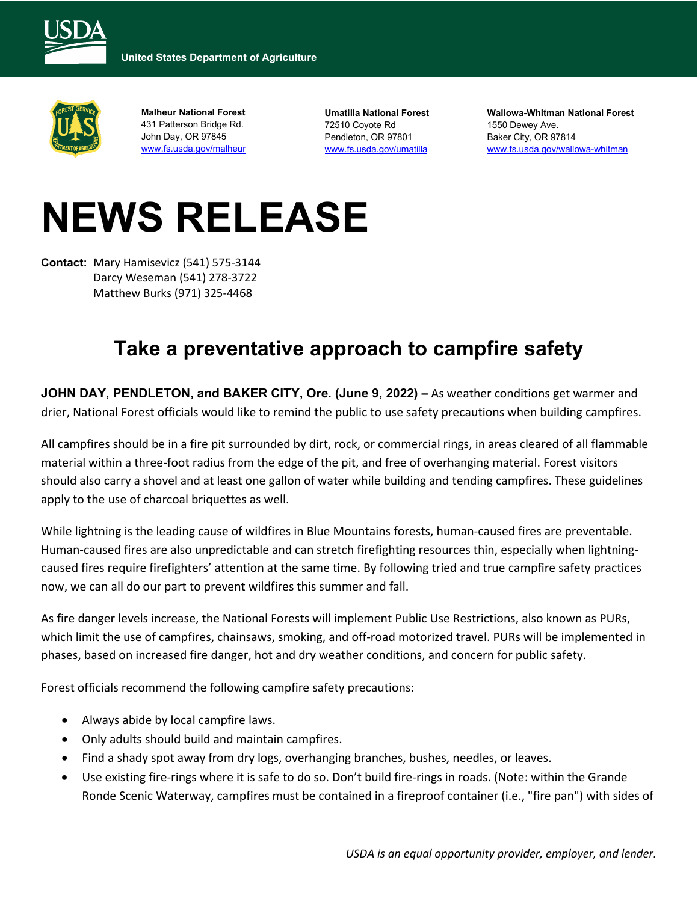



**Malheur National Forest**  431 Patterson Bridge Rd. John Day, OR 97845 [www.fs.usda.gov/malheur](http://www.fs.usda.gov/malheur)

**Umatilla National Forest**  72510 Coyote Rd Pendleton, OR 97801 [www.fs.usda.gov/umatilla](http://www.fs.usda.gov/umatilla)

**Wallowa-Whitman National Forest**  1550 Dewey Ave. Baker City, OR 97814 [www.fs.usda.gov/wallowa-whitman](http://www.fs.usda.gov/wallowa-whitman)

# **NEWS RELEASE**

**Contact:** Mary Hamisevicz (541) 575-3144 Darcy Weseman (541) 278-3722 Matthew Burks (971) 325-4468

## **Take a preventative approach to campfire safety**

**JOHN DAY, PENDLETON, and BAKER CITY, Ore. (June 9, 2022) –** As weather conditions get warmer and drier, National Forest officials would like to remind the public to use safety precautions when building campfires.

All campfires should be in a fire pit surrounded by dirt, rock, or commercial rings, in areas cleared of all flammable material within a three-foot radius from the edge of the pit, and free of overhanging material. Forest visitors should also carry a shovel and at least one gallon of water while building and tending campfires. These guidelines apply to the use of charcoal briquettes as well.

While lightning is the leading cause of wildfires in Blue Mountains forests, human-caused fires are preventable. Human-caused fires are also unpredictable and can stretch firefighting resources thin, especially when lightningcaused fires require firefighters' attention at the same time. By following tried and true campfire safety practices now, we can all do our part to prevent wildfires this summer and fall.

As fire danger levels increase, the National Forests will implement Public Use Restrictions, also known as PURs, which limit the use of campfires, chainsaws, smoking, and off-road motorized travel. PURs will be implemented in phases, based on increased fire danger, hot and dry weather conditions, and concern for public safety.

Forest officials recommend the following campfire safety precautions:

- Always abide by local campfire laws.
- Only adults should build and maintain campfires.
- Find a shady spot away from dry logs, overhanging branches, bushes, needles, or leaves.
- Use existing fire-rings where it is safe to do so. Don't build fire-rings in roads. (Note: within the Grande Ronde Scenic Waterway, campfires must be contained in a fireproof container (i.e., "fire pan") with sides of